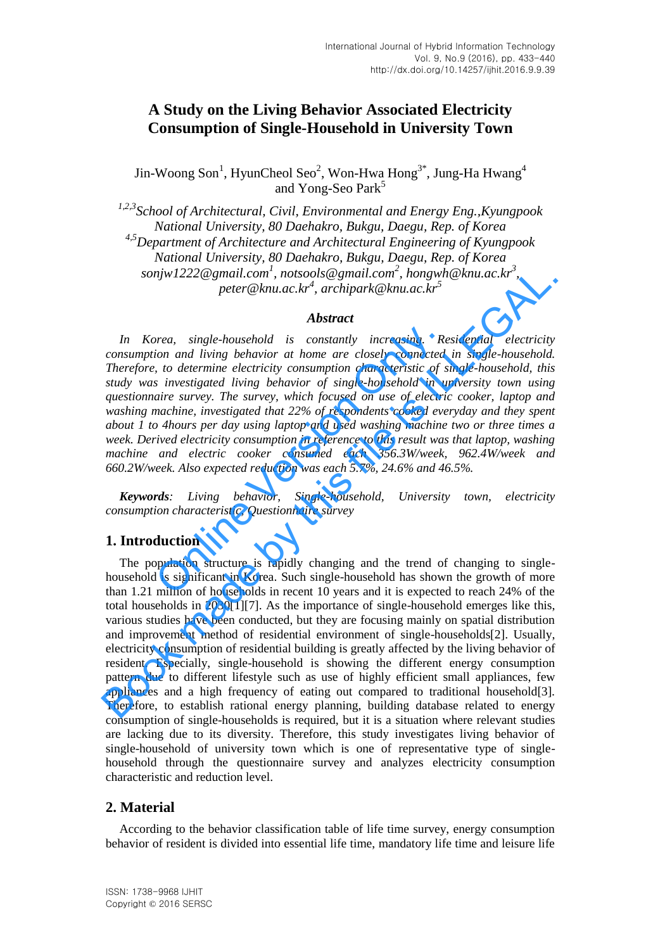# **A Study on the Living Behavior Associated Electricity Consumption of Single-Household in University Town**

Jin-Woong Son<sup>1</sup>, HyunCheol Seo<sup>2</sup>, Won-Hwa Hong<sup>3\*</sup>, Jung-Ha Hwang<sup>4</sup> and Yong-Seo Park<sup>5</sup>

*1,2,3School of Architectural, Civil, Environmental and Energy Eng.,Kyungpook National University, 80 Daehakro, Bukgu, Daegu, Rep. of Korea 4,5Department of Architecture and Architectural Engineering of Kyungpook National University, 80 Daehakro, Bukgu, Daegu, Rep. of Korea*   $conjw1222@gmail.com<sup>1</sup>, not sools@gmail.com<sup>2</sup>,  
hongwh@knu.ac.kr<sup>3</sup>,$ *peter@knu.ac.kr<sup>4</sup> , archipark@knu.ac.kr<sup>5</sup>*

#### *Abstract*

*In Korea, single-household is constantly increasing. Residential electricity consumption and living behavior at home are closely connected in single-household. Therefore, to determine electricity consumption characteristic of single-household, this study was investigated living behavior of single-household in university town using questionnaire survey. The survey, which focused on use of electric cooker, laptop and washing machine, investigated that 22% of respondents cooked everyday and they spent about 1 to 4hours per day using laptop and used washing machine two or three times a week. Derived electricity consumption in reference to this result was that laptop, washing machine and electric cooker consumed each 356.3W/week, 962.4W/week and 660.2W/week. Also expected reduction was each 5.7%, 24.6% and 46.5%.*  or and living behavior at home are closely connected<br>ion and living behavior at home are closely connected<br>is to determine electricity consumption characteristic of s<br>investigated living behavior of single-household in u<br>a

*Keywords: Living behavior, Single-household, University town, electricity consumption characteristic, Questionnaire survey* 

### **1. Introduction**

The population structure is rapidly changing and the trend of changing to singlehousehold is significant in Korea. Such single-household has shown the growth of more than 1.21 million of households in recent 10 years and it is expected to reach 24% of the total households in 2030[1][7]. As the importance of single-household emerges like this, various studies have been conducted, but they are focusing mainly on spatial distribution and improvement method of residential environment of single-households[2]. Usually, electricity consumption of residential building is greatly affected by the living behavior of resident. Especially, single-household is showing the different energy consumption pattern due to different lifestyle such as use of highly efficient small appliances, few appliances and a high frequency of eating out compared to traditional household[3]. Therefore, to establish rational energy planning, building database related to energy consumption of single-households is required, but it is a situation where relevant studies are lacking due to its diversity. Therefore, this study investigates living behavior of single-household of university town which is one of representative type of singlehousehold through the questionnaire survey and analyzes electricity consumption characteristic and reduction level. sonjw1222@gmail.com', notsools@gmail.com', hongwh@knu.ac.kr<sup>3</sup>,<br>peter@knu.ac.kr<sup>3</sup>, archipark@knu.ac.kr<sup>3</sup><br>**Abstract**<br>**Abstract**<br>**Book made by the sensitive constanty increasing. Residential electricity<br>consumption and li** 

### **2. Material**

According to the behavior classification table of life time survey, energy consumption behavior of resident is divided into essential life time, mandatory life time and leisure life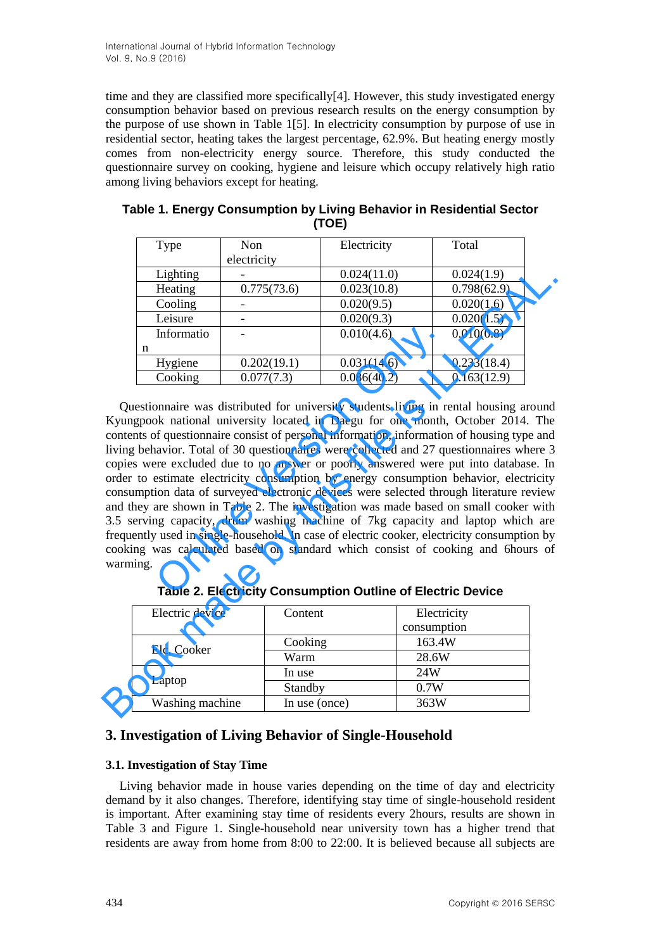time and they are classified more specifically[4]. However, this study investigated energy consumption behavior based on previous research results on the energy consumption by the purpose of use shown in Table 1[5]. In electricity consumption by purpose of use in residential sector, heating takes the largest percentage, 62.9%. But heating energy mostly comes from non-electricity energy source. Therefore, this study conducted the questionnaire survey on cooking, hygiene and leisure which occupy relatively high ratio among living behaviors except for heating.

| Type       | Non         | Electricity | Total       |
|------------|-------------|-------------|-------------|
|            | electricity |             |             |
| Lighting   |             | 0.024(11.0) | 0.024(1.9)  |
| Heating    | 0.775(73.6) | 0.023(10.8) | 0.798(62.9) |
| Cooling    |             | 0.020(9.5)  | 0.020(1.6)  |
| Leisure    |             | 0.020(9.3)  | 0.020(1.5)  |
| Informatio |             | 0.010(4.6)  | 0.010(0.8)  |
| n          |             |             |             |
| Hygiene    | 0.202(19.1) | 0.031(14.6) | 0.233(18.4) |
| Cooking    | 0.077(7.3)  | 0.086(40.2) | 0.163(12.9) |

| Table 1. Energy Consumption by Living Behavior in Residential Sector |
|----------------------------------------------------------------------|
| (TOE)                                                                |

Questionnaire was distributed for university students living in rental housing around Kyungpook national university located in Daegu for one month, October 2014. The contents of questionnaire consist of personal information, information of housing type and living behavior. Total of 30 questionnaires were collected and 27 questionnaires where 3 copies were excluded due to no answer or poorly answered were put into database. In order to estimate electricity consumption by energy consumption behavior, electricity consumption data of surveyed electronic devices were selected through literature review and they are shown in Table 2. The investigation was made based on small cooker with 3.5 serving capacity, drum washing machine of 7kg capacity and laptop which are frequently used in single-household. In case of electric cooker, electricity consumption by cooking was calculated based on standard which consist of cooking and 6hours of warming. Informatio  $0.010(4.6)$ <br>
Hygiene  $0.202(19.1)$   $0.031(14.6)$ <br>
Cooking  $0.077(7.3)$   $0.086(40.2)$ <br>
Donnaire was distributed for university students living in r<br>
ok national university located in Daegu for one month,<br>
o Lighting  $0.024(11.0) 0.024(1.9)$ <br>
Leading  $0.775(73.6) 0.028(0.8) 0.798(62.9)$ <br>
Cooling  $0.020(0.9) 0.020(1.6)$ <br>
Leisure  $0.020(9.3) 0.020(1.6)$ <br>
Leisure  $0.020(9.3) 0.03(14.6)$ <br>
Informatio  $0.202(19.1)$ <br>
Informatio  $0.2$ 

| Electric device | Electricity<br>Content |             |
|-----------------|------------------------|-------------|
|                 |                        | consumption |
| Elc, Cooker     | Cooking                | 163.4W      |
|                 | Warm                   | 28.6W       |
|                 | In use                 | 24W         |
| Laptop          | Standby                | 0.7W        |
| Washing machine | In use (once)          | 363W        |

**Table 2. Electricity Consumption Outline of Electric Device** 

## **3. Investigation of Living Behavior of Single-Household**

#### **3.1. Investigation of Stay Time**

Living behavior made in house varies depending on the time of day and electricity demand by it also changes. Therefore, identifying stay time of single-household resident is important. After examining stay time of residents every 2hours, results are shown in Table 3 and Figure 1. Single-household near university town has a higher trend that residents are away from home from 8:00 to 22:00. It is believed because all subjects are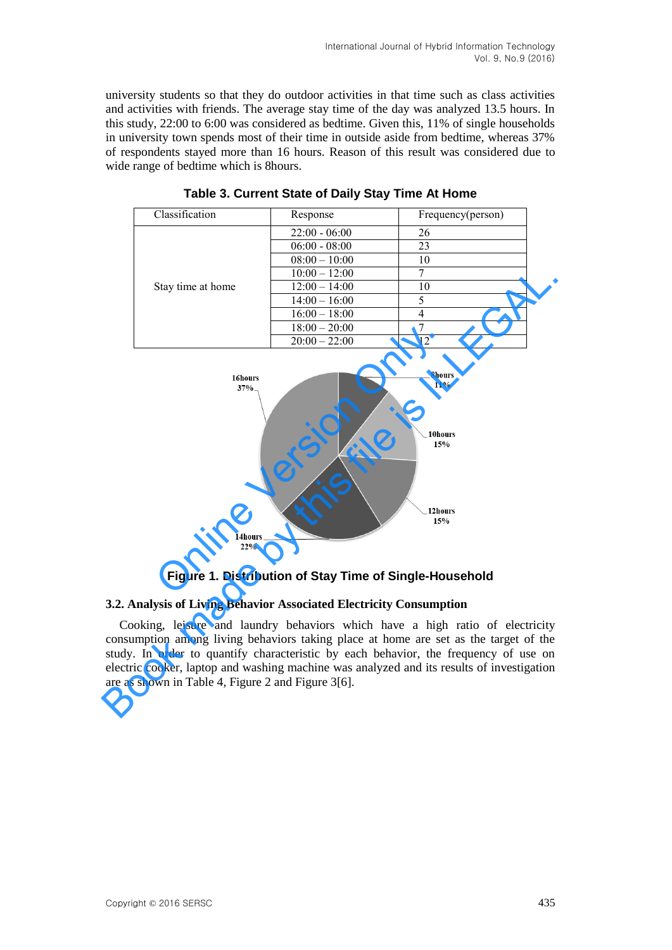university students so that they do outdoor activities in that time such as class activities and activities with friends. The average stay time of the day was analyzed 13.5 hours. In this study, 22:00 to 6:00 was considered as bedtime. Given this, 11% of single households in university town spends most of their time in outside aside from bedtime, whereas 37% of respondents stayed more than 16 hours. Reason of this result was considered due to wide range of bedtime which is 8hours.

| Classification    | Response        | Frequency(person) |
|-------------------|-----------------|-------------------|
|                   | $22:00 - 06:00$ | 26                |
|                   | $06:00 - 08:00$ | 23                |
|                   | $08:00 - 10:00$ | 10                |
|                   | $10:00 - 12:00$ | ┑                 |
| Stay time at home | $12:00 - 14:00$ | 10                |
|                   | $14:00 - 16:00$ | 5                 |
|                   | $16:00 - 18:00$ | 4                 |
|                   | $18:00 - 20:00$ |                   |
|                   | $20:00 - 22:00$ |                   |

**Table 3. Current State of Daily Stay Time At Home** 



**Figure 1. Distribution of Stay Time of Single-Household** 

### **3.2. Analysis of Living Behavior Associated Electricity Consumption**

Cooking, leisure and laundry behaviors which have a high ratio of electricity consumption among living behaviors taking place at home are set as the target of the study. In order to quantify characteristic by each behavior, the frequency of use on electric cooker, laptop and washing machine was analyzed and its results of investigation are as shown in Table 4, Figure 2 and Figure 3[6].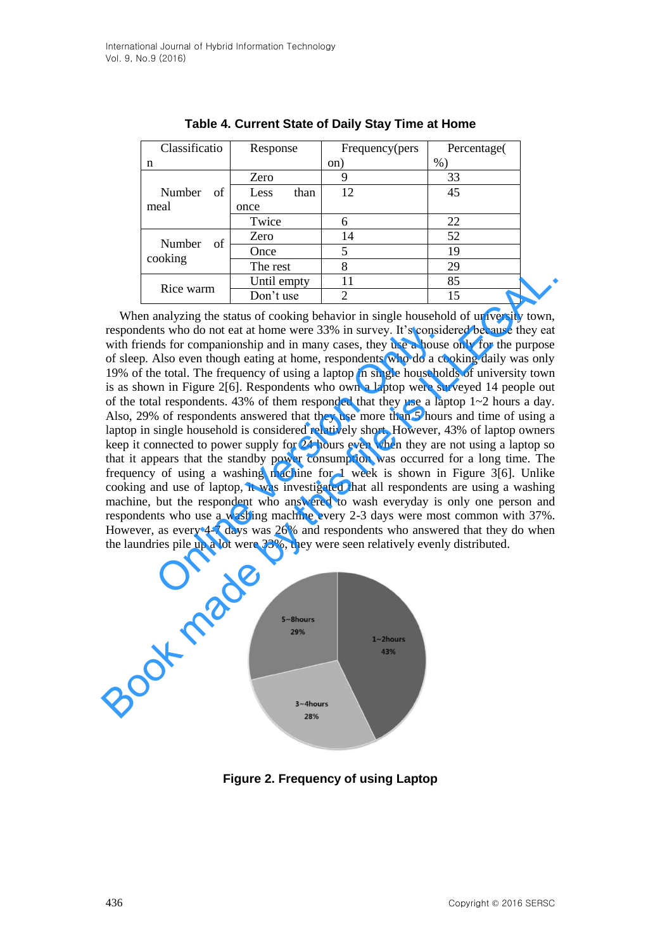| Classificatio           | Response     | Frequency(pers | Percentage( |
|-------------------------|--------------|----------------|-------------|
| n                       |              | on)            | %           |
| Number<br>of            | Zero         |                | 33          |
|                         | than<br>Less | 12             | 45          |
| meal                    | once         |                |             |
|                         | Twice        | 6              | 22          |
| Number<br>of<br>cooking | Zero         | 14             | 52          |
|                         | Once         | 5              | 19          |
|                         | The rest     | 8              | 29          |
|                         | Until empty  | 11             | 85          |
| Rice warm               | Don't use    | 2              | 15          |

**Table 4. Current State of Daily Stay Time at Home** 

When analyzing the status of cooking behavior in single household of university town, respondents who do not eat at home were 33% in survey. It's considered because they eat with friends for companionship and in many cases, they use a house only for the purpose of sleep. Also even though eating at home, respondents who do a cooking daily was only 19% of the total. The frequency of using a laptop in single households of university town is as shown in Figure 2[6]. Respondents who own a laptop were surveyed 14 people out of the total respondents. 43% of them responded that they use a laptop  $1~2$  hours a day. Also, 29% of respondents answered that they use more than 5 hours and time of using a laptop in single household is considered relatively short. However, 43% of laptop owners keep it connected to power supply for 24 hours even when they are not using a laptop so that it appears that the standby power consumption was occurred for a long time. The frequency of using a washing machine for 1 week is shown in Figure 3[6]. Unlike cooking and use of laptop, it was investigated that all respondents are using a washing machine, but the respondent who answered to wash everyday is only one person and respondents who use a washing machine every 2-3 days were most common with 37%. However, as every 4-7 days was 26% and respondents who answered that they do when the laundries pile up a lot were 33%, they were seen relatively evenly distributed. tts who do not eat at home were 33% in survey. It's consider ds for companionship and in many cases, they use a house Also even though eating at home, respondents who do a cce total. The frequency of using a laptop in sing Rice warm Until empty<br>
The sixtual of cooking behavior in single household of university town,<br>
respondents who do not eat at home were 33% in survey. It's considered because they eat<br>
with friends for companionship and in



**Figure 2. Frequency of using Laptop**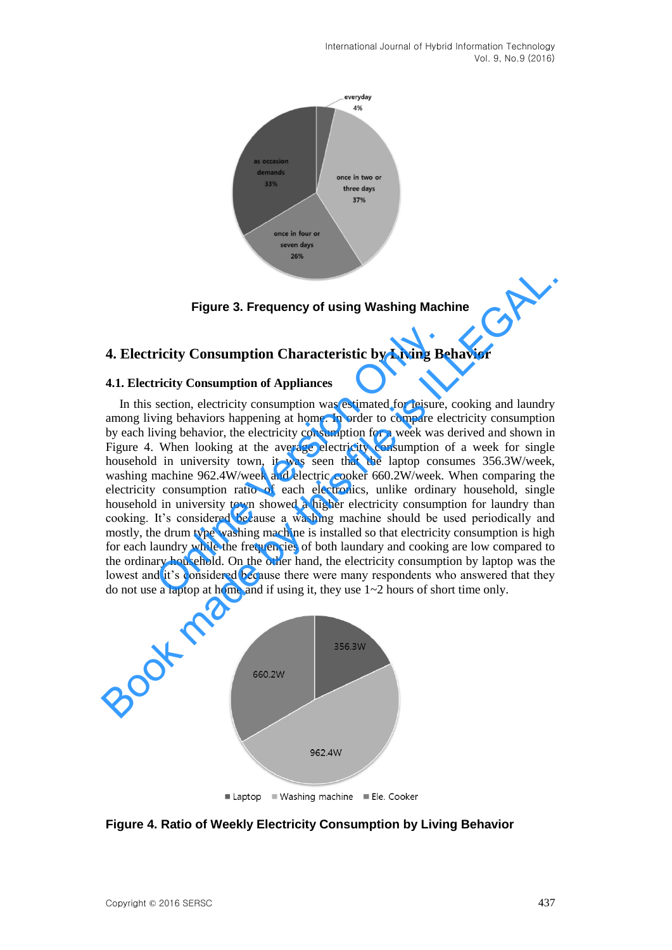International Journal of Hybrid Information Technology Vol. 9, No.9 (2016)



**Figure 3. Frequency of using Washing Machine** 

#### **4. Electricity Consumption Characteristic by Living Behavior**

#### **4.1. Electricity Consumption of Appliances**

In this section, electricity consumption was estimated for leisure, cooking and laundry among living behaviors happening at home. In order to compare electricity consumption by each living behavior, the electricity consumption for a week was derived and shown in Figure 4. When looking at the average electricity consumption of a week for single household in university town, it was seen that the laptop consumes 356.3W/week, washing machine 962.4W/week and electric cooker 660.2W/week. When comparing the electricity consumption ratio of each electronics, unlike ordinary household, single household in university town showed a higher electricity consumption for laundry than cooking. It's considered because a washing machine should be used periodically and mostly, the drum type washing machine is installed so that electricity consumption is high for each laundry while the frequencies of both laundary and cooking are low compared to the ordinary household. On the other hand, the electricity consumption by laptop was the lowest and it's considered because there were many respondents who answered that they do not use a laptop at home and if using it, they use 1~2 hours of short time only. **ricity Consumption Characteristic by Living Be**<br> **ricity Consumption of Appliances**<br>
section, electricity consumption was estimated for leisure,<br>
ving behaviors happening at home. In order to compare eleving behavior, th **Exercicity Consumption Characteristic by Living Behavior**<br>**4. Electricity Consumption Characteristic by Living Behavior**<br>**4.1. Electricity Consumption of Appliances**<br>In this section, electricity consumption was estimated



**Figure 4. Ratio of Weekly Electricity Consumption by Living Behavior**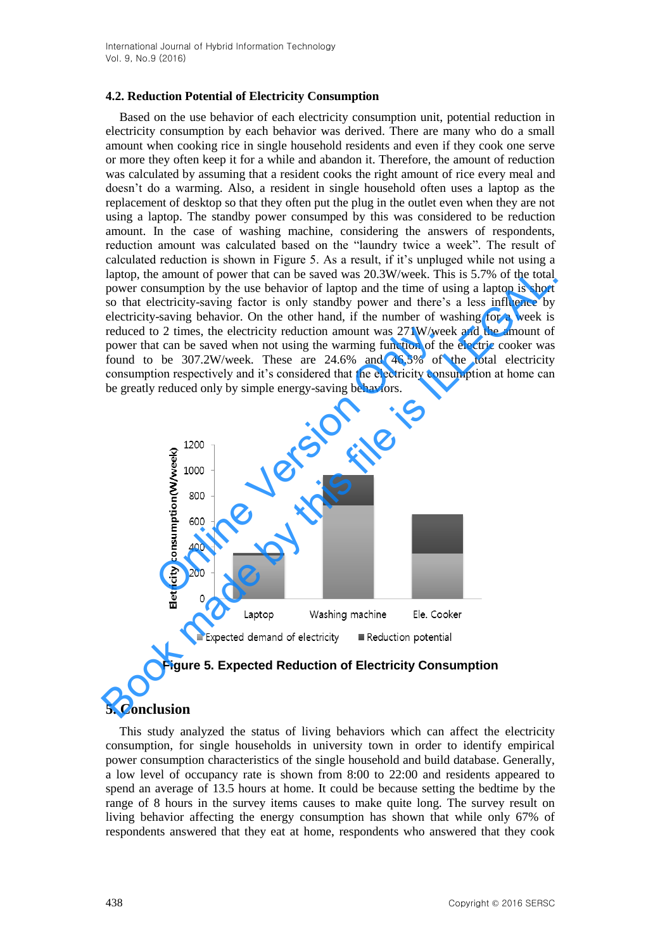#### **4.2. Reduction Potential of Electricity Consumption**

Based on the use behavior of each electricity consumption unit, potential reduction in electricity consumption by each behavior was derived. There are many who do a small amount when cooking rice in single household residents and even if they cook one serve or more they often keep it for a while and abandon it. Therefore, the amount of reduction was calculated by assuming that a resident cooks the right amount of rice every meal and doesn't do a warming. Also, a resident in single household often uses a laptop as the replacement of desktop so that they often put the plug in the outlet even when they are not using a laptop. The standby power consumped by this was considered to be reduction amount. In the case of washing machine, considering the answers of respondents, reduction amount was calculated based on the "laundry twice a week". The result of calculated reduction is shown in Figure 5. As a result, if it's unpluged while not using a laptop, the amount of power that can be saved was 20.3W/week. This is 5.7% of the total power consumption by the use behavior of laptop and the time of using a laptop is short so that electricity-saving factor is only standby power and there's a less influence by electricity-saving behavior. On the other hand, if the number of washing for a week is reduced to 2 times, the electricity reduction amount was 271W/week and the amount of power that can be saved when not using the warming function of the electric cooker was found to be 307.2W/week. These are 24.6% and 46.5% of the total electricity consumption respectively and it's considered that the electricity consumption at home can be greatly reduced only by simple energy-saving behaviors.



**Figure 5. Expected Reduction of Electricity Consumption** 

### **5. Conclusion**

This study analyzed the status of living behaviors which can affect the electricity consumption, for single households in university town in order to identify empirical power consumption characteristics of the single household and build database. Generally, a low level of occupancy rate is shown from 8:00 to 22:00 and residents appeared to spend an average of 13.5 hours at home. It could be because setting the bedtime by the range of 8 hours in the survey items causes to make quite long. The survey result on living behavior affecting the energy consumption has shown that while only 67% of respondents answered that they eat at home, respondents who answered that they cook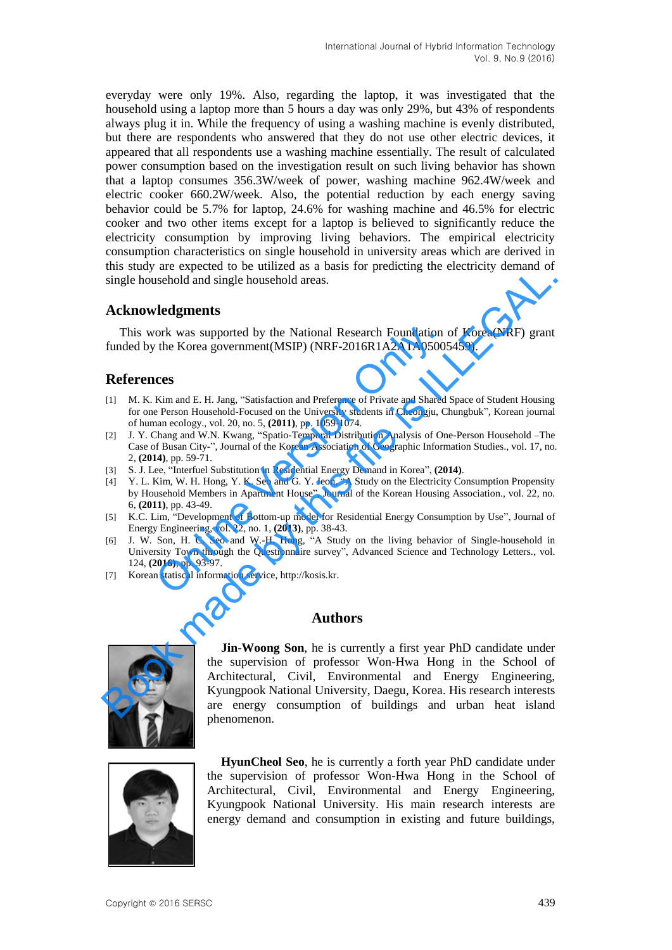everyday were only 19%. Also, regarding the laptop, it was investigated that the household using a laptop more than 5 hours a day was only 29%, but 43% of respondents always plug it in. While the frequency of using a washing machine is evenly distributed, but there are respondents who answered that they do not use other electric devices, it appeared that all respondents use a washing machine essentially. The result of calculated power consumption based on the investigation result on such living behavior has shown that a laptop consumes 356.3W/week of power, washing machine 962.4W/week and electric cooker 660.2W/week. Also, the potential reduction by each energy saving behavior could be 5.7% for laptop, 24.6% for washing machine and 46.5% for electric cooker and two other items except for a laptop is believed to significantly reduce the electricity consumption by improving living behaviors. The empirical electricity consumption characteristics on single household in university areas which are derived in this study are expected to be utilized as a basis for predicting the electricity demand of single household and single household areas.

#### **Acknowledgments**

This work was supported by the National Research Foundation of Korea(NRF) grant funded by the Korea government(MSIP) (NRF-2016R1A2A1A05005459).

### **References**

- [1] M. K. Kim and E. H. Jang, "Satisfaction and Preference of Private and Shared Space of Student Housing for one Person Household-Focused on the University students in Cheongju, Chungbuk"*,* Korean journal of human ecology., vol. 20, no. 5, **(2011)**, pp. 1059-1074.
- [2] J. Y. Chang and W.N. Kwang, "Spatio-Temporal Distribution Analysis of One-Person Household –The Case of Busan City-", Journal of the Korean Association of Geographic Information Studies., vol. 17, no. 2, **(2014)**, pp. 59-71. ork was supported by the National Research Foundation<br>
the Korea government(MSIP) (NRF-2016R1A2A1A0500:<br> **CCS**<br>
Kim and E. H. Jang, "Satisfaction and Preference of Private and Shared<br>
Person Household-Focused on the Univer
- [3] S. J. Lee, "Interfuel Substitution in Residential Energy Demand in Korea", **(2014)**.
- [4] Y. L. Kim, W. H. Hong, Y. K. Seo and G. Y. Jeon, "A Study on the Electricity Consumption Propensity by Household Members in Apartment House", Journal of the Korean Housing Association., vol. 22, no. 6, **(2011)**, pp. 43-49.
- [5] K.C. Lim, "Development of Bottom-up model for Residential Energy Consumption by Use", Journal of Energy Engineering, vol. 22, no. 1, **(2013)**, pp. 38-43.
- [6] J. W. Son, H. C. Seo and W.-H. Hong, "A Study on the living behavior of Single-household in University Town through the Questionnaire survey", Advanced Science and Technology Letters., vol. 124, **(2016)**, pp. 93-97.
- [7] Korean statiscal information service, http://kosis.kr.

### **Authors**



**Jin-Woong Son**, he is currently a first year PhD candidate under the supervision of professor Won-Hwa Hong in the School of Architectural, Civil, Environmental and Energy Engineering, Kyungpook National University, Daegu, Korea. His research interests are energy consumption of buildings and urban heat island phenomenon. ons start are expected to the animal and Phetherstand (Internal and the start and Society) contains of **Acknowledgments**<br>
This work was supported by the National Research Foundation of Korea(NRF) grant<br>
funded by the Korea



**HyunCheol Seo**, he is currently a forth year PhD candidate under the supervision of professor Won-Hwa Hong in the School of Architectural, Civil, Environmental and Energy Engineering, Kyungpook National University. His main research interests are energy demand and consumption in existing and future buildings,